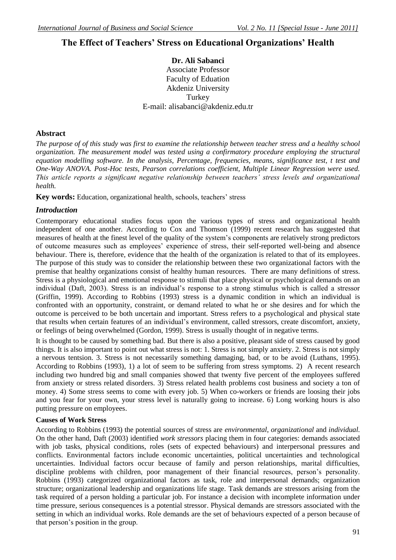# **The Effect of Teachers' Stress on Educational Organizations' Health**

**Dr. Ali Sabanci** Associate Professor Faculty of Eduation Akdeniz University **Turkey** E-mail: alisabanci@akdeniz.edu.tr

# **Abstract**

*The purpose of of this study was first to examine the relationship between teacher stress and a healthy school organization. The measurement model was tested using a confirmatory procedure employing the structural equation modelling software. In the analysis, Percentage, frequencies, means, significance test, t test and One-Way ANOVA. Post-Hoc tests, Pearson correlations coefficient, Multiple Linear Regression were used. This article reports a significant negative relationship between teachers' stress levels and organizational health.*

**Key words:** Education, organizational health, schools, teachers' stress

### *Introduction*

Contemporary educational studies focus upon the various types of stress and organizational health independent of one another. According to Cox and Thomson (1999) recent research has suggested that measures of health at the finest level of the quality of the system"s components are relatively strong predictors of outcome measures such as employees" experience of stress, their self-reported well-being and absence behaviour. There is, therefore, evidence that the health of the organization is related to that of its employees. The purpose of this study was to consider the relationship between these two organizational factors with the premise that healthy organizations consist of healthy human resources. There are many definitions of stress. Stress is a physiological and emotional response to stimuli that place physical or psychological demands on an individual (Daft, 2003). Stress is an individual"s response to a strong stimulus which is called a stressor (Griffin, 1999). According to Robbins (1993) stress is a dynamic condition in which an individual is confronted with an opportunity, constraint, or demand related to what he or she desires and for which the outcome is perceived to be both uncertain and important. Stress refers to a psychological and physical state that results when certain features of an individual"s environment, called stressors, create discomfort, anxiety, or feelings of being overwhelmed (Gordon, 1999). Stress is usually thought of in negative terms.

It is thought to be caused by something bad. But there is also a positive, pleasant side of stress caused by good things. It is also important to point out what stress is not: 1. Stress is not simply anxiety. 2. Stress is not simply a nervous tentsion. 3. Stress is not necessarily something damaging, bad, or to be avoid (Luthans, 1995). According to Robbins (1993), 1) a lot of seem to be suffering from stress symptoms. 2) A recent research including two hundred big and small companies showed that twenty five percent of the employees suffered from anxiety or stress related disorders. 3) Stress related health problems cost business and society a ton of money. 4) Some stress seems to come with every job. 5) When co-workers or friends are loosing their jobs and you fear for your own, your stress level is naturally going to increase. 6) Long working hours is also putting pressure on employees.

### **Causes of Work Stress**

According to Robbins (1993) the potential sources of stress are *environmental*, *organizational* and *individual.* On the other hand, Daft (2003) identified *work stressors* placing them in four categories: demands associated with job tasks, physical conditions, roles (sets of expected behaviours) and interpersonal pressures and conflicts. Environmental factors include economic uncertainties, political uncertainties and technological uncertainties. Individual factors occur because of family and person relationships, marital difficulties, discipline problems with children, poor management of their financial resources, person's personality. Robbins (1993) categorized organizational factors as task, role and interpersonal demands; organization structure; organizational leadership and organizations life stage. Task demands are stressors arising from the task required of a person holding a particular job. For instance a decision with incomplete information under time pressure, serious consequences is a potential stressor. Physical demands are stressors associated with the setting in which an individual works. Role demands are the set of behaviours expected of a person because of that person"s position in the group.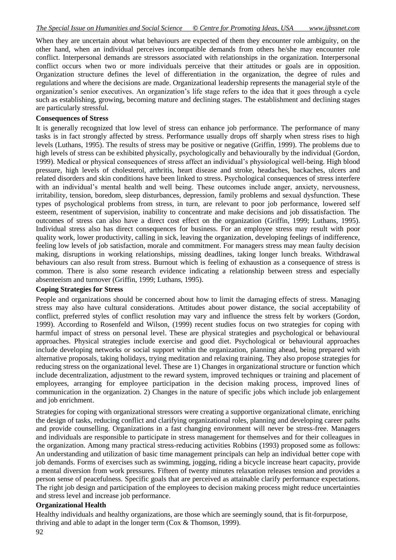When they are uncertain about what behaviours are expected of them they encounter role ambiguity, on the other hand, when an individual perceives incompatible demands from others he/she may encounter role conflict. Interpersonal demands are stressors associated with relationships in the organization. Interpersonal conflict occurs when two or more individuals perceive that their attitudes or goals are in opposition. Organization structure defines the level of differentiation in the organization, the degree of rules and regulations and where the decisions are made. Organizational leadership represents the managerial style of the organization"s senior executives. An organization"s life stage refers to the idea that it goes through a cycle such as establishing, growing, becoming mature and declining stages. The establishment and declining stages are particularly stressful.

#### **Consequences of Stress**

It is generally recognized that low level of stress can enhance job performance. The performance of many tasks is in fact strongly affected by stress. Performance usually drops off sharply when stress rises to high levels (Luthans, 1995). The results of stress may be positive or negative (Griffin, 1999). The problems due to high levels of stress can be exhibited physically, psychologically and behaviourally by the individual (Gordon, 1999). Medical or physical consequences of stress affect an individual"s physiological well-being. High blood pressure, high levels of cholesterol, arthritis, heart disease and stroke, headaches, backaches, ulcers and related disorders and skin conditions have been linked to stress. Psychological consequences of stress interfere with an individual's mental health and well being. These outcomes include anger, anxiety, nervousness, irritability, tension, boredom, sleep disturbances, depression, family problems and sexual dysfunction. These types of psychological problems from stress, in turn, are relevant to poor job performance, lowered self esteem, resentment of supervision, inability to concentrate and make decisions and job dissatisfaction. The outcomes of stress can also have a direct cost effect on the organization (Griffin, 1999; Luthans, 1995). Individual stress also has direct consequences for business. For an employee stress may result with poor quality work, lower productivity, calling in sick, leaving the organization, developing feelings of indifference, feeling low levels of job satisfaction, morale and commitment. For managers stress may mean faulty decision making, disruptions in working relationships, missing deadlines, taking longer lunch breaks. Withdrawal behaviours can also result from stress. Burnout which is feeling of exhaustion as a consequence of stress is common. There is also some research evidence indicating a relationship between stress and especially absenteeism and turnover (Griffin, 1999; Luthans, 1995).

### **Coping Strategies for Stress**

People and organizations should be concerned about how to limit the damaging effects of stress. Managing stress may also have cultural considerations. Attitudes about power distance, the social acceptability of conflict, preferred styles of conflict resolution may vary and influence the stress felt by workers (Gordon, 1999). According to Rosenfeld and Wilson, (1999) recent studies focus on two strategies for coping with harmful impact of stress on personal level. These are physical strategies and psychological or behavioural approaches. Physical strategies include exercise and good diet. Psychological or behavioural approaches include developing networks or social support within the organization, planning ahead, being prepared with alternative proposals, taking holidays, trying meditation and relaxing training. They also propose strategies for reducing stress on the organizational level. These are 1) Changes in organizational structure or function which include decentralization, adjustment to the reward system, improved techniques or training and placement of employees, arranging for employee participation in the decision making process, improved lines of communication in the organization. 2) Changes in the nature of specific jobs which include job enlargement and job enrichment.

Strategies for coping with organizational stressors were creating a supportive organizational climate, enriching the design of tasks, reducing conflict and clarifying organizational roles, planning and developing career paths and provide counselling. Organizations in a fast changing environment will never be stress-free. Managers and individuals are responsible to participate in stress management for themselves and for their colleagues in the organization. Among many practical stress-reducing activities Robbins (1993) proposed some as follows: An understanding and utilization of basic time management principals can help an individual better cope with job demands. Forms of exercises such as swimming, jogging, riding a bicycle increase heart capacity, provide a mental diversion from work pressures. Fifteen of twenty minutes relaxation releases tension and provides a person sense of peacefulness. Specific goals that are perceived as attainable clarify performance expectations. The right job design and participation of the employees to decision making process might reduce uncertainties and stress level and increase job performance.

### **Organizational Health**

Healthy individuals and healthy organizations, are those which are seemingly sound, that is fit-forpurpose, thriving and able to adapt in the longer term (Cox & Thomson, 1999).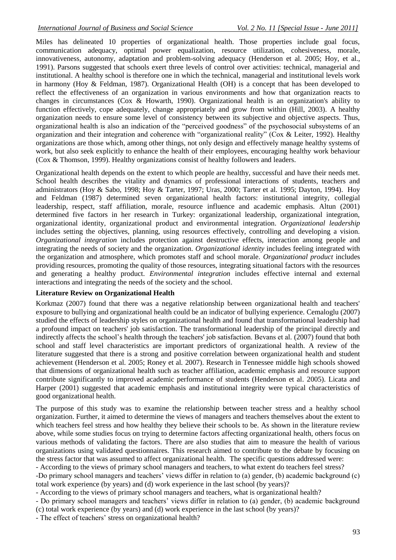Miles has delineated 10 properties of organizational health. Those properties include goal focus, communication adequacy, optimal power equalization, resource utilization, cohesiveness, morale, innovativeness, autonomy, adaptation and problem-solving adequacy (Henderson et al. 2005; Hoy, et al., 1991). Parsons suggested that schools exert three levels of control over activities: technical, managerial and institutional. A healthy school is therefore one in which the technical, managerial and institutional levels work in harmony (Hoy & Feldman, 1987). Organizational Health (OH) is a concept that has been developed to reflect the effectiveness of an organization in various environments and how that organization reacts to changes in circumstances (Cox & Howarth, 1990). Organizational health is an organization's ability to function effectively, cope adequately, change appropriately and grow from within (Hill, 2003). A healthy organization needs to ensure some level of consistency between its subjective and objective aspects. Thus, organizational health is also an indication of the "perceived goodness" of the psychosocial subsystems of an organization and their integration and coherence with "organizational reality" (Cox & Leiter, 1992). Healthy organizations are those which, among other things, not only design and effectively manage healthy systems of work, but also seek explicitly to enhance the health of their employees, encouraging healthy work behaviour (Cox & Thomson, 1999). Healthy organizations consist of healthy followers and leaders.

Organizational health depends on the extent to which people are healthy, successful and have their needs met. School health describes the vitality and dynamics of professional interactions of students, teachers and administrators (Hoy & Sabo, 1998; Hoy & Tarter, 1997; Uras, 2000; Tarter et al. 1995; Dayton, 1994). Hoy and Feldman (1987) determined seven organizational health factors: institutional integrity, collegial leadership, respect, staff affiliation, morale, resource influence and academic emphasis. Altun (2001) determined five factors in her research in Turkey: organizational leadership, organizational integration, organizational identity, organizational product and environmental integration. *Organizational leadership* includes setting the objectives, planning, using resources effectively, controlling and developing a vision. *Organizational integration* includes protection against destructive effects, interaction among people and integrating the needs of society and the organization. *Organizational identity* includes feeling integrated with the organization and atmosphere, which promotes staff and school morale. *Organizational product* includes providing resources, promoting the quality of those resources, integrating situational factors with the resources and generating a healthy product. *Environmental integration* includes effective internal and external interactions and integrating the needs of the society and the school.

### **Literature Review on Organizational Health**

Korkmaz (2007) found that there was a negative relationship between organizational health and teachers' exposure to bullying and organizational health could be an indicator of bullying experience. Cemaloglu (2007) studied the effects of leadership styles on organizational health and found that transformational leadership had a profound impact on teachers' job satisfaction. The transformational leadership of the principal directly and indirectly affects the school"s health through the teachers' job satisfaction. Bevans et al*.* (2007) found that both school and staff level characteristics are important predictors of organizational health. A review of the literature suggested that there is a strong and positive correlation between organizational health and student achievement (Henderson et al*.* 2005; Roney et al*.* 2007). Research in Tennessee middle high schools showed that dimensions of organizational health such as teacher affiliation, academic emphasis and resource support contribute significantly to improved academic performance of students (Henderson et al*.* 2005). Licata and Harper (2001) suggested that academic emphasis and institutional integrity were typical characteristics of good organizational health.

The purpose of this study was to examine the relationship between teacher stress and a healthy school organization. Further, it aimed to determine the views of managers and teachers themselves about the extent to which teachers feel stress and how healthy they believe their schools to be. As shown in the literature review above, while some studies focus on trying to determine factors affecting organizational health, others focus on various methods of validating the factors. There are also studies that aim to measure the health of various organizations using validated questionnaires. This research aimed to contribute to the debate by focusing on the stress factor that was assumed to affect organizational health. The specific questions addressed were:

- According to the views of primary school managers and teachers, to what extent do teachers feel stress? -Do primary school managers and teachers" views differ in relation to (a) gender, (b) academic background (c) total work experience (by years) and (d) work experience in the last school (by years)?

- According to the views of primary school managers and teachers, what is organizational health?

- Do primary school managers and teachers' views differ in relation to (a) gender, (b) academic background (c) total work experience (by years) and (d) work experience in the last school (by years)?

- The effect of teachers' stress on organizational health?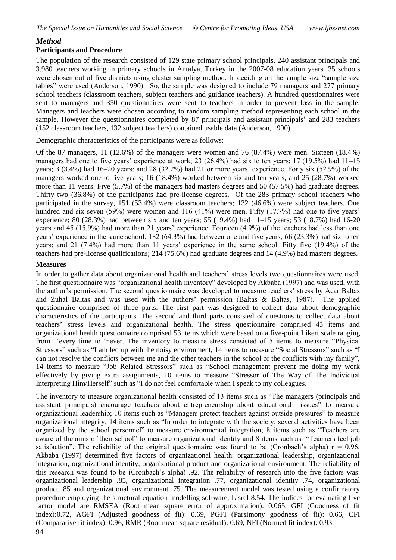# *Method*

### **Participants and Procedure**

The population of the research consisted of 129 state primary school principals, 240 assistant principals and 3.980 teachers working in primary schools in Antalya, Turkey in the 2007-08 education years. 35 schools were chosen out of five districts using cluster sampling method. In deciding on the sample size "sample size tables" were used (Anderson, 1990). So, the sample was designed to include 79 managers and 277 primary school teachers (classroom teachers, subject teachers and guidance teachers). A hundred questionnaires were sent to managers and 350 questionnaires were sent to teachers in order to prevent loss in the sample. Managers and teachers were chosen according to random sampling method representing each school in the sample. However the questionnaires completed by 87 principals and assistant principals' and 283 teachers (152 classroom teachers, 132 subject teachers) contained usable data (Anderson, 1990).

Demographic characteristics of the participants were as follows:

Of the 87 managers, 11 (12.6%) of the managers were women and 76 (87.4%) were men. Sixteen (18.4%) managers had one to five years' experience at work; 23 (26.4%) had six to ten years; 17 (19.5%) had 11–15 years; 3 (3.4%) had 16–20 years; and 28 (32.2%) had 21 or more years" experience. Forty six (52.9%) of the managers worked one to five years; 16 (18.4%) worked between six and ten years, and 25 (28.7%) worked more than 11 years. Five (5.7%) of the managers had masters degrees and 50 (57.5%) had graduate degrees. Thirty two (36.8%) of the participants had pre-license degrees. Of the 283 primary school teachers who participated in the survey, 151 (53.4%) were classroom teachers; 132 (46.6%) were subject teachers. One hundred and six seven (59%) were women and 116 (41%) were men. Fifty (17.7%) had one to five years' experience; 80 (28.3%) had between six and ten years; 55 (19.4%) had 11–15 years; 53 (18.7%) had 16-20 years and 45 (15.9%) had more than 21 years' experience. Fourteen (4.9%) of the teachers had less than one years" experience in the same school; 182 (64.3%) had between one and five years; 66 (23.3%) had six to ten years; and 21 (7.4%) had more than 11 years" experience in the same school. Fifty five (19.4%) of the teachers had pre-license qualifications; 214 (75.6%) had graduate degrees and 14 (4.9%) had masters degrees.

### **Measures**

In order to gather data about organizational health and teachers" stress levels two questionnaires were used. The first questionnaire was "organizational health inventory" developed by Akbaba (1997) and was used, with the author"s permission. The second questionnaire was developed to measure teachers" stress by Acar Baltas and Zuhal Baltas and was used with the authors" permission (Baltas & Baltas, 1987). The applied questionnaire comprised of three parts. The first part was designed to collect data about demographic characteristics of the participants. The second and third parts consisted of questions to collect data about teachers" stress levels and organizational health. The stress questionnaire comprised 43 items and organizational health questionnaire comprised 53 items which were based on a five-point Likert scale ranging from "every time to "never. The inventory to measure stress consisted of 5 items to measure "Physical Stressors" such as "I am fed up with the noisy environment, 14 items to measure "Social Stressors" such as "I can not resolve the conflicts between me and the other teachers in the school or the conflicts with my family", 14 items to measure "Job Related Stressors" such as "School management prevent me doing my work effectively by giving extra assignments, 10 items to measure "Stressor of The Way of The Individual Interpreting Him/Herself" such as "I do not feel comfortable when I speak to my colleagues.

94 The inventory to measure organizational health consisted of 13 items such as "The managers (principals and assistant principals) encourage teachers about entrepreneurship about educational issues" to measure organizational leadership; 10 items such as "Managers protect teachers against outside pressures" to measure organizational integrity; 14 items such as "In order to integrate with the society, several activities have been organized by the school personnel" to measure environmental integration; 8 items such as "Teachers are aware of the aims of their school" to measure organizational identity and 8 items such as "Teachers feel job satisfaction". The reliability of the original questionnaire was found to be (Cronbach's alpha)  $r = 0.96$ . Akbaba (1997) determined five factors of organizational health: organizational leadership, organizational integration, organizational identity, organizational product and organizational environment. The reliability of this research was found to be (Cronbach"s alpha) .92. The reliability of research into the five factors was: organizational leadership .85, organizational integration .77, organizational identity .74, organizational product .85 and organizational environment .75. The measurement model was tested using a confirmatory procedure employing the structural equation modelling software, Lisrel 8.54. The indices for evaluating five factor model are RMSEA (Root mean square error of approximation): 0.065, GFI (Goodness of fit index):0.72, AGFI (Adjusted goodness of fit): 0.69, PGFI (Parsimony goodness of fit): 0.66, CFI (Comparative fit index): 0.96, RMR (Root mean square residual): 0.69, NFI (Normed fit index): 0.93,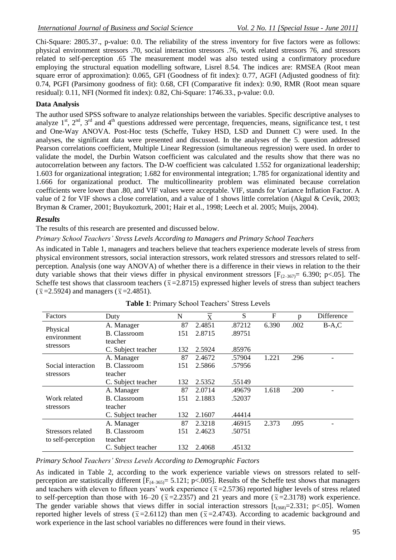Chi-Square: 2805.37., p-value: 0.0. The reliability of the stress inventory for five factors were as follows: physical environment stressors .70, social interaction stressors .76, work related stressors 76, and stressors related to self-perception .65 The measurement model was also tested using a confirmatory procedure employing the structural equation modelling software, Lisrel 8.54. The indices are: RMSEA (Root mean square error of approximation): 0.065, GFI (Goodness of fit index): 0.77, AGFI (Adjusted goodness of fit): 0.74, PGFI (Parsimony goodness of fit): 0.68, CFI (Comparative fit index): 0.90, RMR (Root mean square residual): 0.11, NFI (Normed fit index): 0.82, Chi-Square: 1746.33., p-value: 0.0.

### **Data Analysis**

The author used SPSS software to analyze relationships between the variables. Specific descriptive analyses to analyze  $1<sup>st</sup>$ ,  $2<sup>nd</sup>$ ,  $3<sup>rd</sup>$  and  $4<sup>th</sup>$  questions addressed were percentage, frequencies, means, significance test, t test and One-Way ANOVA. Post-Hoc tests (Scheffe, Tukey HSD, LSD and Dunnett C) were used. In the analyses, the significant data were presented and discussed. In the analyses of the 5. question addressed Pearson correlations coefficient, Multiple Linear Regression (simultaneous regression) were used. In order to validate the model, the Durbin Watson coefficient was calculated and the results show that there was no autocorrelation between any factors. The D-W coefficient was calculated 1.552 for organizational leadership; 1.603 for organizational integration; 1.682 for environmental integration; 1.785 for organizational identity and 1.666 for organizational product. The multicollinearity problem was eliminated because correlation coefficients were lower than .80, and VIF values were acceptable. VIF, stands for Variance Inflation Factor. A value of 2 for VIF shows a close correlation, and a value of 1 shows little correlation (Akgul & Cevik, 2003; Bryman & Cramer, 2001; Buyukozturk, 2001; Hair et al., 1998; Leech et al. 2005; Muijs, 2004).

### *Results*

The results of this research are presented and discussed below.

### *Primary School Teachers' Stress Levels According to Managers and Primary School Teachers*

As indicated in Table 1, managers and teachers believe that teachers experience moderate levels of stress from physical environment stressors, social interaction stressors, work related stressors and stressors related to selfperception. Analysis (one way ANOVA) of whether there is a difference in their views in relation to the their duty variable shows that their views differ in physical environment stressors  $[F_{(2-367)}= 6.390; p<.05]$ . The Scheffe test shows that classroom teachers ( $\bar{x}$ =2.8715) expressed higher levels of stress than subject teachers  $(\bar{x} = 2.5924)$  and managers  $(\bar{x} = 2.4851)$ .

| Factors                                 | Duty                | N   | X      | S      | F     | p    | Difference |
|-----------------------------------------|---------------------|-----|--------|--------|-------|------|------------|
|                                         | A. Manager          | 87  | 2.4851 | .87212 | 6.390 | .002 | $B-A,C$    |
| Physical<br>environment                 | <b>B.</b> Classroom | 151 | 2.8715 | .89751 |       |      |            |
|                                         | teacher             |     |        |        |       |      |            |
| stressors                               | C. Subject teacher  | 132 | 2.5924 | .85976 |       |      |            |
|                                         | A. Manager          | 87  | 2.4672 | .57904 | 1.221 | .296 |            |
| Social interaction                      | <b>B.</b> Classroom | 151 | 2.5866 | .57956 |       |      |            |
| stressors                               | teacher             |     |        |        |       |      |            |
|                                         | C. Subject teacher  | 132 | 2.5352 | .55149 |       |      |            |
|                                         | A. Manager          | 87  | 2.0714 | .49679 | 1.618 | .200 |            |
| Work related                            | B. Classroom        | 151 | 2.1883 | .52037 |       |      |            |
| stressors                               | teacher             |     |        |        |       |      |            |
|                                         | C. Subject teacher  | 132 | 2.1607 | .44414 |       |      |            |
|                                         | A. Manager          | 87  | 2.3218 | .46915 | 2.373 | .095 |            |
| Stressors related<br>to self-perception | <b>B.</b> Classroom | 151 | 2.4623 | .50751 |       |      |            |
|                                         | teacher             |     |        |        |       |      |            |
|                                         | C. Subject teacher  | 132 | 2.4068 | .45132 |       |      |            |

| Table 1: Primary School Teachers' Stress Levels |  |  |
|-------------------------------------------------|--|--|
|-------------------------------------------------|--|--|

*Primary School Teachers' Stress Levels According to Demographic Factors* 

As indicated in Table 2, according to the work experience variable views on stressors related to selfperception are statistically different  $[F_{(4-365)}]$  = 5.121; p<.005]. Results of the Scheffe test shows that managers and teachers with eleven to fifteen years' work experience ( $\bar{x}$ =2.5736) reported higher levels of stress related to self-perception than those with 16–20 ( $\bar{x}$  =2.2357) and 21 years and more ( $\bar{x}$  =2.3178) work experience. The gender variable shows that views differ in social interaction stressors  $[t_{(368)}=2.331; p<.05]$ . Women reported higher levels of stress ( $\bar{x}$ =2.6112) than men ( $\bar{x}$ =2.4743). According to academic background and work experience in the last school variables no differences were found in their views.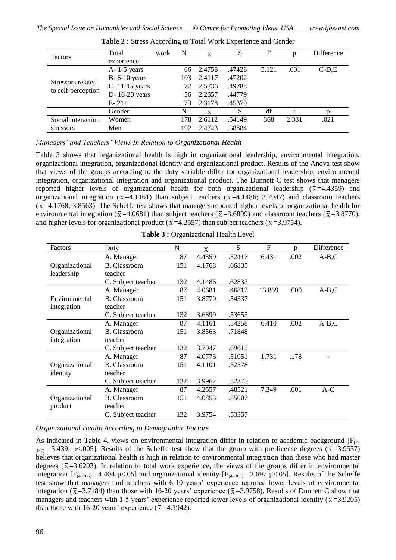| Factors            | Total              | work | N   | $\overline{\mathbf{x}}$ | S      | F     | p     | Difference |
|--------------------|--------------------|------|-----|-------------------------|--------|-------|-------|------------|
|                    | experience         |      |     |                         |        |       |       |            |
| Stressors related  | $A - 1 - 5$ years  |      | 66  | 2.4758                  | .47428 | 5.121 | .001  | $C-D,E$    |
|                    | $B - 6 - 10$ years |      | 103 | 2.4117                  | .47202 |       |       |            |
|                    | C-11-15 years      |      | 72  | 2.5736                  | .49788 |       |       |            |
|                    | D-16-20 years      |      | 56  | 2.2357                  | .44779 |       |       |            |
|                    | $E - 21 +$         |      | 73  | 2.3178                  | .45379 |       |       |            |
|                    | Gender             |      | N   | $\overline{x}$          | S      | df    |       |            |
| Social interaction | Women              |      | 178 | 2.6112                  | .54149 | 368   | 2.331 | .021       |
| stressors          | Men                |      | 192 | 2.4743                  | .58884 |       |       |            |
| to self-perception |                    |      |     |                         |        |       |       |            |

**Table 2 :** Stress According to Total Work Experience and Gender

*Managers' and Teachers' Views In Relation to Organizational Health*

Table 3 shows that organizational health is high in organizational leadership, environmental integration, organizational integration, organizational identity and organizational product. Results of the Anova test show that views of the groups according to the duty variable differ for organizational leadership, environmental integration, organizational integration and organizational product. The Dunnett C test shows that managers reported higher levels of organizational health for both organizational leadership ( $\bar{x}$ =4.4359) and organizational integration ( $\bar{x}$ =4.1161) than subject teachers ( $\bar{x}$ =4.1486; 3.7947) and classroom teachers  $(\bar{x} = 4.1768; 3.8563)$ . The Scheffe test shows that managers reported higher levels of organizational health for environmental integration ( $\bar{x}$ =4.0681) than subject teachers ( $\bar{x}$ =3.6899) and classroom teachers ( $\bar{x}$ =3.8770); and higher levels for organizational product ( $\bar{x}$ =4.2557) than subject teachers ( $\bar{x}$ =3.9754).

| Factors        | Duty                | N   | X      | S      | F      | p    | Difference |
|----------------|---------------------|-----|--------|--------|--------|------|------------|
|                | A. Manager          | 87  | 4.4359 | .52417 | 6.431  | .002 | $A-B,C$    |
| Organizational | <b>B.</b> Classroom | 151 | 4.1768 | .66835 |        |      |            |
| leadership     | teacher             |     |        |        |        |      |            |
|                | C. Subject teacher  | 132 | 4.1486 | .62833 |        |      |            |
|                | A. Manager          | 87  | 4.0681 | .46812 | 13.869 | .000 | $A-B,C$    |
| Environmental  | <b>B.</b> Classroom | 151 | 3.8770 | .54337 |        |      |            |
| integration    | teacher             |     |        |        |        |      |            |
|                | C. Subject teacher  | 132 | 3.6899 | .53655 |        |      |            |
|                | A. Manager          | 87  | 4.1161 | .54258 | 6.410  | .002 | $A-B,C$    |
| Organizational | <b>B.</b> Classroom | 151 | 3.8563 | .71848 |        |      |            |
| integration    | teacher             |     |        |        |        |      |            |
|                | C. Subject teacher  | 132 | 3.7947 | .69615 |        |      |            |
|                | A. Manager          | 87  | 4.0776 | .51051 | 1.731  | .178 |            |
| Organizational | <b>B.</b> Classroom | 151 | 4.1101 | .52578 |        |      |            |
| identity       | teacher             |     |        |        |        |      |            |
|                | C. Subject teacher  | 132 | 3.9962 | .52375 |        |      |            |
|                | A. Manager          | 87  | 4.2557 | .48521 | 7.349  | .001 | $A-C$      |
| Organizational | <b>B.</b> Classroom | 151 | 4.0853 | .55007 |        |      |            |
| product        | teacher             |     |        |        |        |      |            |
|                | C. Subject teacher  | 132 | 3.9754 | .53357 |        |      |            |

|  | <b>Table 3: Organizational Health Level</b> |
|--|---------------------------------------------|
|--|---------------------------------------------|

*Organizational Health According to Demographic Factors*

As indicated in Table 4, views on environmental integration differ in relation to academic background  $[F_{(2)}]$ 337)= 3.439; p<.005]. Results of the Scheffe test show that the group with pre-license degrees ( $\bar{x}$ =3.9557) believes that organizational health is high in relation to environmental integration than those who had master degrees ( $\bar{x}$ =3.6203). In relation to total work experience, the views of the groups differ in environmental integration  $[F_{(4-365)}]$  = 4.404 p<.05] and organizational identity  $[F_{(4-365)}]$  = 2.697 p<.05]. Results of the Scheffe test show that managers and teachers with 6-10 years" experience reported lower levels of environmental integration ( $\bar{x}$ =3.7184) than those with 16-20 years' experience ( $\bar{x}$ =3.9758). Results of Dunnett C show that managers and teachers with 1-5 years' experience reported lower levels of organizational identity ( $\bar{x}$ =3.9205) than those with 16-20 years' experience ( $\bar{x}$ =4.1942).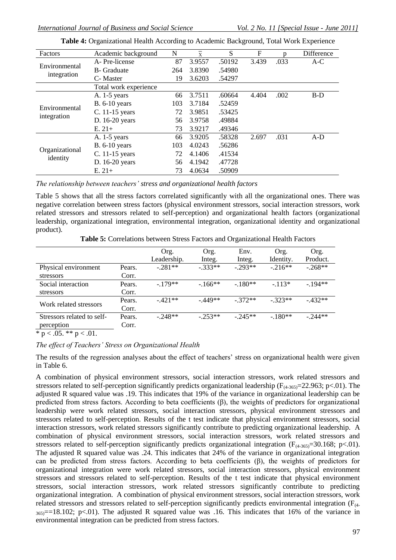| Factors                      | Academic background   | N   | $\overline{\mathrm{x}}$ | S      | F     | n    | Difference |
|------------------------------|-----------------------|-----|-------------------------|--------|-------|------|------------|
|                              | A-Pre-license         | 87  | 3.9557                  | .50192 | 3.439 | .033 | $A-C$      |
| Environmental                | <b>B</b> - Graduate   | 264 | 3.8390                  | .54980 |       |      |            |
| integration                  | C-Master              | 19  | 3.6203                  | .54297 |       |      |            |
|                              | Total work experience |     |                         |        |       |      |            |
|                              | A. $1-5$ years        | 66  | 3.7511                  | .60664 | 4.404 | .002 | $B-D$      |
|                              | <b>B.</b> 6-10 years  | 103 | 3.7184                  | .52459 |       |      |            |
| Environmental<br>integration | C. 11-15 years        | 72  | 3.9851                  | .53425 |       |      |            |
|                              | D. 16-20 years        | 56  | 3.9758                  | .49884 |       |      |            |
|                              | $E. 21+$              | 73  | 3.9217                  | .49346 |       |      |            |
|                              | A. 1-5 years          | 66  | 3.9205                  | .58328 | 2.697 | .031 | $A-D$      |
|                              | <b>B.</b> 6-10 years  | 103 | 4.0243                  | .56286 |       |      |            |
| Organizational<br>identity   | C. 11-15 years        | 72  | 4.1406                  | .41534 |       |      |            |
|                              | D. 16-20 years        | 56  | 4.1942                  | .47728 |       |      |            |
|                              | $E. 21+$              | 73  | 4.0634                  | .50909 |       |      |            |

**Table 4:** Organizational Health According to Academic Background, Total Work Experience

*The relationship between teachers' stress and organizational health factors*

Table 5 shows that all the stress factors correlated significantly with all the organizational ones. There was negative correlation between stress factors (physical environment stressors, social interaction stressors, work related stressors and stressors related to self-perception) and organizational health factors (organizational leadership, organizational integration, environmental integration, organizational identity and organizational product).

**Table 5:** Correlations between Stress Factors and Organizational Health Factors

|                                          |                 | Org.<br>Leadership. | Org.<br>Integ. | Env.<br>Integ. | Org.<br>Identity. | Org.<br>Product. |
|------------------------------------------|-----------------|---------------------|----------------|----------------|-------------------|------------------|
| Physical environment<br>stressors        | Pears.<br>Corr. | $-.281**$           | $-333**$       | $-293**$       | $-216**$          | $-.268**$        |
| Social interaction<br>stressors          | Pears.<br>Corr. | $-179**$            | $-166**$       | $-180**$       | $-.113*$          | $-194**$         |
| Work related stressors                   | Pears.<br>Corr. | $-421**$            | $-449**$       | $-372**$       | $-323**$          | $-432**$         |
| Stressors related to self-<br>perception | Pears.<br>Corr. | $-.248**$           | $-.253**$      | $-245**$       | $-180**$          | $-244**$         |

 $\overline{* p} < .05. \overline{*p} < .01.$ 

### *The effect of Teachers' Stress on Organizational Health*

The results of the regression analyses about the effect of teachers' stress on organizational health were given in Table 6.

A combination of physical environment stressors, social interaction stressors, work related stressors and stressors related to self-perception significantly predicts organizational leadership ( $F_{(4-365)}$ =22.963; p<.01). The adjusted R squared value was .19. This indicates that 19% of the variance in organizational leadership can be predicted from stress factors. According to beta coefficients (β), the weights of predictors for organizational leadership were work related stressors, social interaction stressors, physical environment stressors and stressors related to self-perception. Results of the t test indicate that physical environment stressors, social interaction stressors, work related stressors significantly contribute to predicting organizational leadership. A combination of physical environment stressors, social interaction stressors, work related stressors and stressors related to self-perception significantly predicts organizational integration ( $F_{(4-365)}=30.168$ ; p<.01). The adjusted R squared value was .24. This indicates that 24% of the variance in organizational integration can be predicted from stress factors. According to beta coefficients (β), the weights of predictors for organizational integration were work related stressors, social interaction stressors, physical environment stressors and stressors related to self-perception. Results of the t test indicate that physical environment stressors, social interaction stressors, work related stressors significantly contribute to predicting organizational integration. A combination of physical environment stressors, social interaction stressors, work related stressors and stressors related to self-perception significantly predicts environmental integration (F(4-  $_{365}$ ==18.102; p<.01). The adjusted R squared value was .16. This indicates that 16% of the variance in environmental integration can be predicted from stress factors.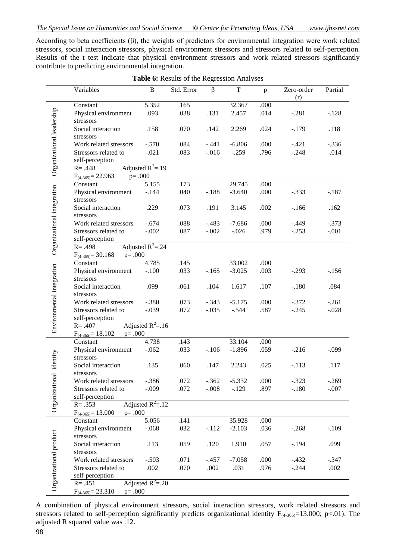According to beta coefficients (β), the weights of predictors for environmental integration were work related stressors, social interaction stressors, physical environment stressors and stressors related to self-perception. Results of the t test indicate that physical environment stressors and work related stressors significantly contribute to predicting environmental integration.

|                            | Variables                                      | $\, {\bf B}$         | Std. Error   | $\beta$             | $\mathbf T$         | $\mathbf{p}$ | Zero-order         | Partial            |
|----------------------------|------------------------------------------------|----------------------|--------------|---------------------|---------------------|--------------|--------------------|--------------------|
|                            |                                                |                      |              |                     |                     |              | (r)                |                    |
|                            | Constant                                       | 5.352                | .165         |                     | 32.367              | .000         |                    |                    |
|                            | Physical environment                           | .093                 | .038         | .131                | 2.457               | .014         | $-.281$            | $-.128$            |
|                            | stressors                                      |                      |              |                     |                     |              |                    |                    |
|                            | Social interaction                             | .158                 | .070         | .142                | 2.269               | .024         | $-.179$            | .118               |
|                            | stressors                                      |                      |              |                     |                     |              |                    |                    |
|                            | Work related stressors<br>Stressors related to | $-.570$<br>$-.021$   | .084<br>.083 | $-.441$<br>$-0.016$ | $-6.806$<br>$-.259$ | .000<br>.796 | $-.421$<br>$-.248$ | $-.336$<br>$-.014$ |
|                            | self-perception                                |                      |              |                     |                     |              |                    |                    |
| Organizational leadership  | $R = .448$                                     | Adjusted $R^2 = .19$ |              |                     |                     |              |                    |                    |
|                            | $F_{(4-365)} = 22.963$                         | $p = .000$           |              |                     |                     |              |                    |                    |
|                            | Constant                                       | 5.155                | .173         |                     | 29.745              | .000         |                    |                    |
|                            | Physical environment                           | $-144$               | .040         | $-.188$             | $-3.640$            | .000         | $-.333$            | $-.187$            |
|                            | stressors                                      |                      |              |                     |                     |              |                    |                    |
|                            | Social interaction                             | .229                 | .073         | .191                | 3.145               | .002         | $-166$             | .162               |
|                            | stressors                                      |                      |              |                     |                     |              |                    |                    |
|                            | Work related stressors                         | $-.674$              | .088         | $-.483$             | $-7.686$            | .000         | $-.449$            | $-.373$            |
|                            | Stressors related to                           | $-.002$              | .087         | $-.002$             | $-.026$             | .979         | $-.253$            | $-.001$            |
|                            | self-perception                                |                      |              |                     |                     |              |                    |                    |
| Organizational integration | $R = .498$                                     | Adjusted $R^2 = .24$ |              |                     |                     |              |                    |                    |
|                            | $p = .000$<br>$F_{(4-365)} = 30.168$           |                      |              |                     | 33.002              |              |                    |                    |
|                            | Constant                                       | 4.785<br>$-.100$     | .145<br>.033 | $-.165$             | $-3.025$            | .000<br>.003 | $-.293$            | $-156$             |
|                            | Physical environment<br>stressors              |                      |              |                     |                     |              |                    |                    |
|                            | Social interaction                             | .099                 | .061         | .104                | 1.617               | .107         | $-.180$            | .084               |
|                            | stressors                                      |                      |              |                     |                     |              |                    |                    |
|                            | Work related stressors                         | $-.380$              | .073         | $-.343$             | $-5.175$            | .000         | $-.372$            | $-.261$            |
|                            | Stressors related to                           | $-.039$              | .072         | $-.035$             | $-.544$             | .587         | $-.245$            | $-.028$            |
|                            | self-perception                                |                      |              |                     |                     |              |                    |                    |
| Environmental integration  | $R = .407$                                     | Adjusted $R^2 = .16$ |              |                     |                     |              |                    |                    |
|                            | $F_{(4-365)} = 18.102$<br>$p = .000$           |                      |              |                     |                     |              |                    |                    |
|                            | Constant                                       | 4.738                | .143         |                     | 33.104              | .000         |                    |                    |
|                            | Physical environment                           | $-.062$              | .033         | $-.106$             | $-1.896$            | .059         | $-.216$            | $-.099$            |
|                            | stressors                                      |                      |              |                     |                     |              |                    |                    |
|                            | Social interaction                             | .135                 | .060         | .147                | 2.243               | .025         | $-.113$            | .117               |
|                            | stressors                                      |                      |              |                     |                     | .000         |                    | $-.269$            |
|                            | Work related stressors<br>Stressors related to | $-.386$<br>$-.009$   | .072<br>.072 | $-.362$<br>$-.008$  | $-5.332$<br>$-.129$ | .897         | $-.323$<br>$-.180$ | $-.007$            |
|                            | self-perception                                |                      |              |                     |                     |              |                    |                    |
| Organizational identity    | $R = .353$                                     | Adjusted $R^2 = .12$ |              |                     |                     |              |                    |                    |
|                            | $p = .000$<br>$F_{(4-365)} = 13.000$           |                      |              |                     |                     |              |                    |                    |
|                            | Constant                                       | 5.056                | .141         |                     | 35.928              | .000         |                    |                    |
|                            | Physical environment                           | $-.068$              | .032         | $-.112$             | $-2.103$            | .036         | $-.268$            | $-.109$            |
|                            | stressors                                      |                      |              |                     |                     |              |                    |                    |
| Organizational product     | Social interaction                             | .113                 | .059         | .120                | 1.910               | .057         | $-.194$            | .099               |
|                            | stressors                                      |                      |              |                     |                     |              |                    |                    |
|                            | Work related stressors                         | $-.503$              | .071         | $-.457$             | $-7.058$            | .000         | $-.432$            | $-.347$            |
|                            | Stressors related to                           | .002                 | .070         | .002                | .031                | .976         | $-.244$            | .002               |
|                            | self-perception<br>$R = .451$                  | Adjusted $R^2 = .20$ |              |                     |                     |              |                    |                    |
|                            | $F_{(4-365)} = 23.310$<br>$p = .000$           |                      |              |                     |                     |              |                    |                    |
|                            |                                                |                      |              |                     |                     |              |                    |                    |

**Table 6:** Results of the Regression Analyses

A combination of physical environment stressors, social interaction stressors, work related stressors and stressors related to self-perception significantly predicts organizational identity  $F_{(4-365)}=13.000$ ; p<.01). The adjusted R squared value was .12.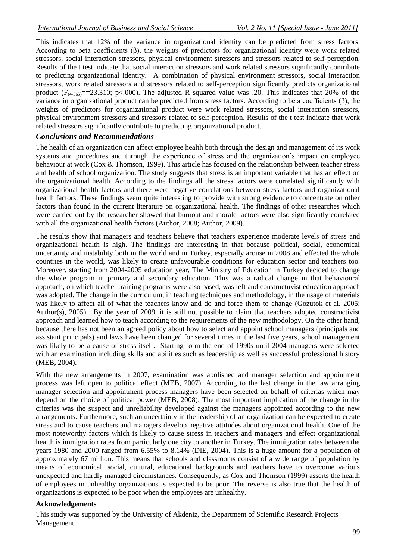This indicates that 12% of the variance in organizational identity can be predicted from stress factors. According to beta coefficients (β), the weights of predictors for organizational identity were work related stressors, social interaction stressors, physical environment stressors and stressors related to self-perception. Results of the t test indicate that social interaction stressors and work related stressors significantly contribute to predicting organizational identity. A combination of physical environment stressors, social interaction stressors, work related stressors and stressors related to self-perception significantly predicts organizational product  $(F_{(4,365)}=-23.310; p<.000)$ . The adjusted R squared value was .20. This indicates that 20% of the variance in organizational product can be predicted from stress factors. According to beta coefficients (β), the weights of predictors for organizational product were work related stressors, social interaction stressors, physical environment stressors and stressors related to self-perception. Results of the t test indicate that work related stressors significantly contribute to predicting organizational product.

# *Conclusions and Recommendations*

The health of an organization can affect employee health both through the design and management of its work systems and procedures and through the experience of stress and the organization"s impact on employee behaviour at work (Cox & Thomson, 1999). This article has focused on the relationship between teacher stress and health of school organization. The study suggests that stress is an important variable that has an effect on the organizational health. According to the findings all the stress factors were correlated significantly with organizational health factors and there were negative correlations between stress factors and organizational health factors. These findings seem quite interesting to provide with strong evidence to concentrate on other factors than found in the current literature on organizational health. The findings of other researches which were carried out by the researcher showed that burnout and morale factors were also significantly correlated with all the organizational health factors (Author, 2008; Author, 2009).

The results show that managers and teachers believe that teachers experience moderate levels of stress and organizational health is high. The findings are interesting in that because political, social, economical uncertainty and instability both in the world and in Turkey, especially arouse in 2008 and effected the whole countries in the world, was likely to create unfavourable conditions for education sector and teachers too. Moreover, starting from 2004-2005 education year, The Ministry of Education in Turkey decided to change the whole program in primary and secondary education. This was a radical change in that behavioural approach, on which teacher training programs were also based, was left and constructuvist education approach was adopted. The change in the curriculum, in teaching techniques and methodology, in the usage of materials was likely to affect all of what the teachers know and do and force them to change (Gozutok et al. 2005; Author(s), 2005). By the year of 2009, it is still not possible to claim that teachers adopted constructivist approach and learned how to teach according to the requirements of the new methodology. On the other hand, because there has not been an agreed policy about how to select and appoint school managers (principals and assistant principals) and laws have been changed for several times in the last five years, school management was likely to be a cause of stress itself. Starting form the end of 1990s until 2004 managers were selected with an examination including skills and abilities such as leadership as well as successful professional history (MEB, 2004).

With the new arrangements in 2007, examination was abolished and manager selection and appointment process was left open to political effect (MEB, 2007). According to the last change in the law arranging manager selection and appointment process managers have been selected on behalf of criterias which may depend on the choice of political power (MEB, 2008). The most important implication of the change in the criterias was the suspect and unreliability developed against the managers appointed according to the new arrangements. Furthermore, such an uncertainty in the leadership of an organization can be expected to create stress and to cause teachers and managers develop negative attitudes about organizational health. One of the most noteworthy factors which is likely to cause stress in teachers and managers and effect organizational health is immigration rates from particularly one city to another in Turkey. The immigration rates between the years 1980 and 2000 ranged from 6.55% to 8.14% (DIE, 2004). This is a huge amount for a population of approximately 67 million. This means that schools and classrooms consist of a wide range of population by means of economical, social, cultural, educational backgrounds and teachers have to overcome various unexpected and hardly managed circumstances. Consequently, as Cox and Thomson (1999) asserts the health of employees in unhealthy organizations is expected to be poor. The reverse is also true that the health of organizations is expected to be poor when the employees are unhealthy.

### **Acknowledgements**

This study was supported by the University of Akdeniz, the Department of Scientific Research Projects Management.